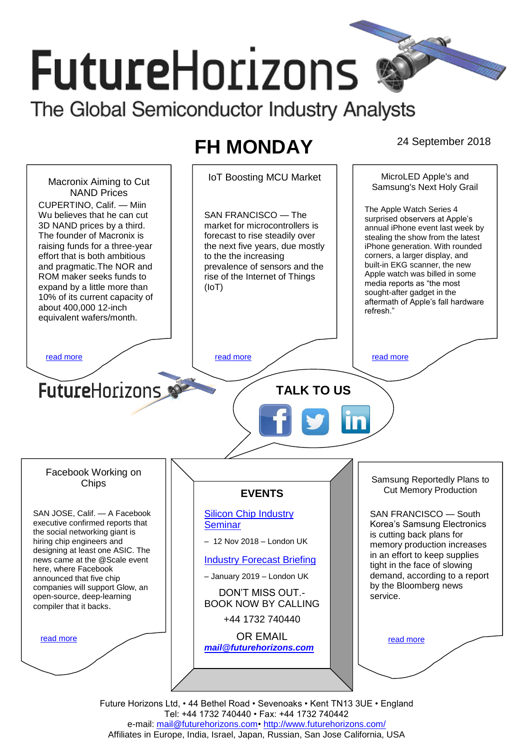# **FutureHorizons** The Global Semiconductor Industry Analysts

# **FH MONDAY** 24 September 2018



Tel: +44 1732 740440 • Fax: +44 1732 740442 e-mail: mail@futurehorizons.com• http://www.futurehorizons.com/ Affiliates in Europe, India, Israel, Japan, Russian, San Jose California, USA